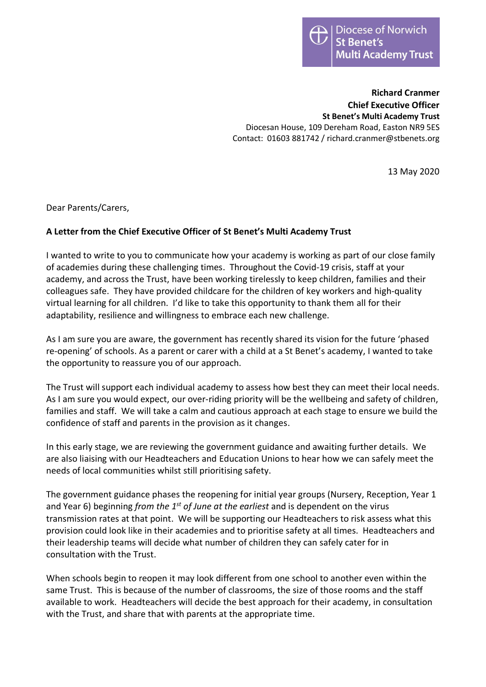

**Richard Cranmer Chief Executive Officer St Benet's Multi Academy Trust** Diocesan House, 109 Dereham Road, Easton NR9 5ES Contact: 01603 881742 / richard.cranmer@stbenets.org

13 May 2020

Dear Parents/Carers,

## **A Letter from the Chief Executive Officer of St Benet's Multi Academy Trust**

I wanted to write to you to communicate how your academy is working as part of our close family of academies during these challenging times. Throughout the Covid-19 crisis, staff at your academy, and across the Trust, have been working tirelessly to keep children, families and their colleagues safe. They have provided childcare for the children of key workers and high-quality virtual learning for all children. I'd like to take this opportunity to thank them all for their adaptability, resilience and willingness to embrace each new challenge.

As I am sure you are aware, the government has recently shared its vision for the future 'phased re-opening' of schools. As a parent or carer with a child at a St Benet's academy, I wanted to take the opportunity to reassure you of our approach.

The Trust will support each individual academy to assess how best they can meet their local needs. As I am sure you would expect, our over-riding priority will be the wellbeing and safety of children, families and staff. We will take a calm and cautious approach at each stage to ensure we build the confidence of staff and parents in the provision as it changes.

In this early stage, we are reviewing the government guidance and awaiting further details. We are also liaising with our Headteachers and Education Unions to hear how we can safely meet the needs of local communities whilst still prioritising safety.

The government guidance phases the reopening for initial year groups (Nursery, Reception, Year 1 and Year 6) beginning *from the 1st of June at the earliest* and is dependent on the virus transmission rates at that point. We will be supporting our Headteachers to risk assess what this provision could look like in their academies and to prioritise safety at all times. Headteachers and their leadership teams will decide what number of children they can safely cater for in consultation with the Trust.

When schools begin to reopen it may look different from one school to another even within the same Trust. This is because of the number of classrooms, the size of those rooms and the staff available to work. Headteachers will decide the best approach for their academy, in consultation with the Trust, and share that with parents at the appropriate time.